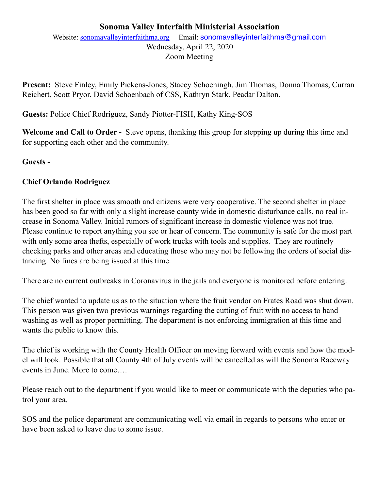# **Sonoma Valley Interfaith Ministerial Association**

Website: [sonomavalleyinterfaithma.org](http://sonomavalleyinterfaithma.org) Email: [sonomavalleyinterfaithma@gmail.com](mailto:sonomavalleyinterfaithma@gmail.com) Wednesday, April 22, 2020 Zoom Meeting

**Present:** Steve Finley, Emily Pickens-Jones, Stacey Schoeningh, Jim Thomas, Donna Thomas, Curran Reichert, Scott Pryor, David Schoenbach of CSS, Kathryn Stark, Peadar Dalton.

**Guests:** Police Chief Rodriguez, Sandy Piotter-FISH, Kathy King-SOS

**Welcome and Call to Order -** Steve opens, thanking this group for stepping up during this time and for supporting each other and the community.

### **Guests -**

### **Chief Orlando Rodriguez**

The first shelter in place was smooth and citizens were very cooperative. The second shelter in place has been good so far with only a slight increase county wide in domestic disturbance calls, no real increase in Sonoma Valley. Initial rumors of significant increase in domestic violence was not true. Please continue to report anything you see or hear of concern. The community is safe for the most part with only some area thefts, especially of work trucks with tools and supplies. They are routinely checking parks and other areas and educating those who may not be following the orders of social distancing. No fines are being issued at this time.

There are no current outbreaks in Coronavirus in the jails and everyone is monitored before entering.

The chief wanted to update us as to the situation where the fruit vendor on Frates Road was shut down. This person was given two previous warnings regarding the cutting of fruit with no access to hand washing as well as proper permitting. The department is not enforcing immigration at this time and wants the public to know this.

The chief is working with the County Health Officer on moving forward with events and how the model will look. Possible that all County 4th of July events will be cancelled as will the Sonoma Raceway events in June. More to come….

Please reach out to the department if you would like to meet or communicate with the deputies who patrol your area.

SOS and the police department are communicating well via email in regards to persons who enter or have been asked to leave due to some issue.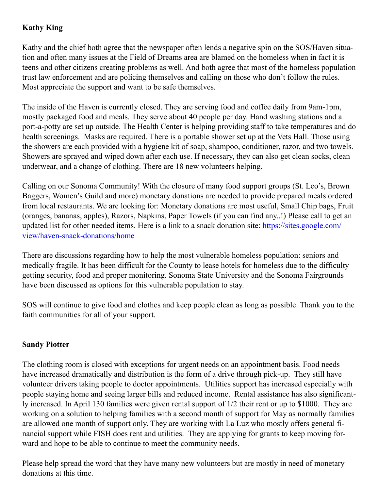# **Kathy King**

Kathy and the chief both agree that the newspaper often lends a negative spin on the SOS/Haven situation and often many issues at the Field of Dreams area are blamed on the homeless when in fact it is teens and other citizens creating problems as well. And both agree that most of the homeless population trust law enforcement and are policing themselves and calling on those who don't follow the rules. Most appreciate the support and want to be safe themselves.

The inside of the Haven is currently closed. They are serving food and coffee daily from 9am-1pm, mostly packaged food and meals. They serve about 40 people per day. Hand washing stations and a port-a-potty are set up outside. The Health Center is helping providing staff to take temperatures and do health screenings. Masks are required. There is a portable shower set up at the Vets Hall. Those using the showers are each provided with a hygiene kit of soap, shampoo, conditioner, razor, and two towels. Showers are sprayed and wiped down after each use. If necessary, they can also get clean socks, clean underwear, and a change of clothing. There are 18 new volunteers helping.

Calling on our Sonoma Community! With the closure of many food support groups (St. Leo's, Brown Baggers, Women's Guild and more) monetary donations are needed to provide prepared meals ordered from local restaurants. We are looking for: Monetary donations are most useful, Small Chip bags, Fruit (oranges, bananas, apples), Razors, Napkins, Paper Towels (if you can find any..!) Please call to get an updated list for other needed items. Here is a link to a snack donation site: [https://sites.google.com/](https://sites.google.com/view/haven-snack-donations/home) [view/haven-snack-donations/home](https://sites.google.com/view/haven-snack-donations/home)

There are discussions regarding how to help the most vulnerable homeless population: seniors and medically fragile. It has been difficult for the County to lease hotels for homeless due to the difficulty getting security, food and proper monitoring. Sonoma State University and the Sonoma Fairgrounds have been discussed as options for this vulnerable population to stay.

SOS will continue to give food and clothes and keep people clean as long as possible. Thank you to the faith communities for all of your support.

# **Sandy Piotter**

The clothing room is closed with exceptions for urgent needs on an appointment basis. Food needs have increased dramatically and distribution is the form of a drive through pick-up. They still have volunteer drivers taking people to doctor appointments. Utilities support has increased especially with people staying home and seeing larger bills and reduced income. Rental assistance has also significantly increased. In April 130 families were given rental support of 1/2 their rent or up to \$1000. They are working on a solution to helping families with a second month of support for May as normally families are allowed one month of support only. They are working with La Luz who mostly offers general financial support while FISH does rent and utilities. They are applying for grants to keep moving forward and hope to be able to continue to meet the community needs.

Please help spread the word that they have many new volunteers but are mostly in need of monetary donations at this time.